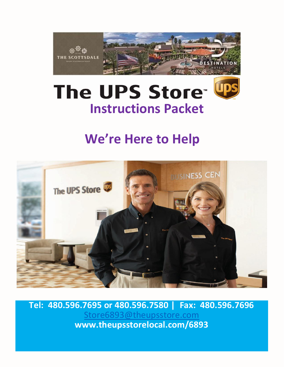

# **The UPS Store Was Instructions Packet**

### **We're Here to Help**



**Tel: 480.596.7695 or 480.596.7580 | Fax: 480.596.7696** [Store6893@theupsstore.com](mailto:Store6893@theupsstore.com) **www.theupsstorelocal.com/6893**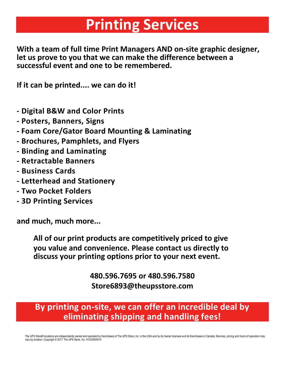## **Printing Services**

**With a team of full time Print Managers AND on-site graphic designer, let us prove to you that we can make the difference between a successful event and one to be remembered.** 

**If it can be printed.... we can do it!**

- **- Digital B&W and Color Prints**
- **- Posters, Banners, Signs**
- **- Foam Core/Gator Board Mounting & Laminating**
- **- Brochures, Pamphlets, and Flyers**
- **- Binding and Laminating**
- **- Retractable Banners**
- **- Business Cards**
- **- Letterhead and Stationery**
- **- Two Pocket Folders**
- **- 3D Printing Services**

**and much, much more...**

**All of our print products are competitively priced to give you value and convenience. Please contact us directly to discuss your printing options prior to your next event.**

> **480.596.7695 or 480.596.7580 Store6893@theupsstore.com**

**By printing on-site, we can offer an incredible deal by eliminating shipping and handling fees!**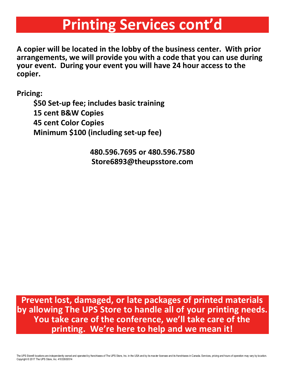## **Printing Services cont'd**

**A copier will be located in the lobby of the business center. With prior arrangements, we will provide you with a code that you can use during your event. During your event you will have 24 hour access to the copier.**

**Pricing:**

**\$50 Set-up fee; includes basic training 15 cent B&W Copies 45 cent Color Copies Minimum \$100 (including set-up fee)**

> **480.596.7695 or 480.596.7580 Store6893@theupsstore.com**

**Prevent lost, damaged, or late packages of printed materials by allowing The UPS Store to handle all of your printing needs. You take care of the conference, we'll take care of the printing. We're here to help and we mean it!**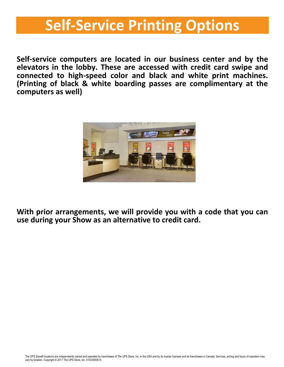## **Self-Service Printing Options**

**Self-service computers are located in our business center and by the elevators in the lobby. These are accessed with credit card swipe and connected to high-speed color and black and white print machines. (Printing of black & white boarding passes are complimentary at the computers as well)**



**With prior arrangements, we will provide you with a code that you can use during your Show as an alternative to credit card.**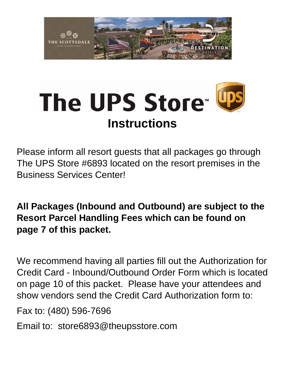

# The UPS Store<sup>®</sup> **Instructions**



**All Packages (Inbound and Outbound) are subject to the Resort Parcel Handling Fees which can be found on page 7 of this packet.**

We recommend having all parties fill out the Authorization for Credit Card - Inbound/Outbound Order Form which is located on page 10 of this packet. Please have your attendees and show vendors send the Credit Card Authorization form to:

Fax to: (480) 596-7696

Email to: store6893@theupsstore.com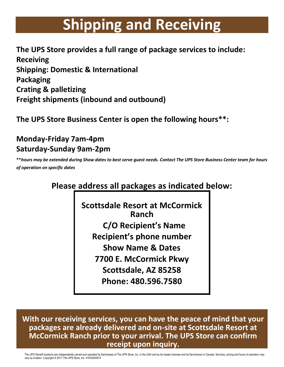## **Shipping and Receiving**

**The UPS Store provides a full range of package services to include: Receiving Shipping: Domestic & International Packaging Crating & palletizing Freight shipments (inbound and outbound)**

**The UPS Store Business Center is open the following hours\*\*:**

#### **Monday-Friday 7am-4pm Saturday-Sunday 9am-2pm**

**\*\****hours may be extended during Show dates to best serve guest needs. Contact The UPS Store Business Center team for hours of operation on specific dates*

#### **Please address all packages as indicated below:**

**Scottsdale Resort at McCormick Ranch C/O Recipient's Name Recipient's phone number Show Name & Dates 7700 E. McCormick Pkwy Scottsdale, AZ 85258 Phone: 480.596.7580**

**With our receiving services, you can have the peace of mind that your packages are already delivered and on-site at Scottsdale Resort at McCormick Ranch prior to your arrival. The UPS Store can confirm receipt upon inquiry.**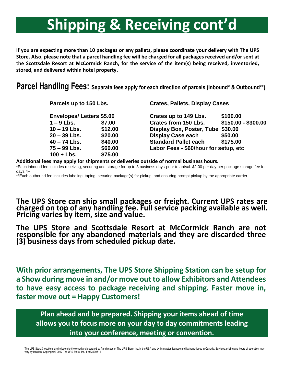## **Shipping & Receiving cont'd**

**If you are expecting more than 10 packages or any pallets, please coordinate your delivery with The UPS Store. Also, please note that a parcel handling fee will be charged for all packages received and/or sent at the Scottsdale Resort at McCormick Ranch, for the service of the item(s) being received, inventoried, stored, and delivered within hotel property.** 

**Parcel Handling Fees: Separate fees apply for each direction of parcels (Inbound\* & Outbound\*\*).**

| Parcels up to 150 Lbs.<br><b>Envelopes/Letters \$5.00</b> |         | <b>Crates, Pallets, Display Cases</b> |                     |  |  |
|-----------------------------------------------------------|---------|---------------------------------------|---------------------|--|--|
|                                                           |         | Crates up to 149 Lbs.                 | \$100.00            |  |  |
| $1 - 9$ Lbs.                                              | \$7.00  | <b>Crates from 150 Lbs.</b>           | \$150.00 - \$300.00 |  |  |
| $10 - 19$ Lbs.                                            | \$12.00 | Display Box, Poster, Tube \$30.00     |                     |  |  |
| $20 - 39$ Lbs.                                            | \$20.00 | <b>Display Case each</b>              | \$50.00             |  |  |
| $40 - 74$ Lbs.                                            | \$40.00 | <b>Standard Pallet each</b>           | \$175.00            |  |  |
| $75 - 99$ Lbs.                                            | \$60.00 | Labor Fees - \$60/hour for setup, etc |                     |  |  |
| $100 + Lbs.$                                              | \$75.00 |                                       |                     |  |  |

**Additional fees may apply for shipments or deliveries outside of normal business hours.** 

\*Each inbound fee includes receiving, securing and storage for up to 3 business days prior to arrival. \$2.00 per day per package storage fee for days 4+

\*\*Each outbound fee includes labeling, taping, securing package(s) for pickup, and ensuring prompt pickup by the appropriate carrier

**The UPS Store can ship small packages or freight. Current UPS rates are charged on top of any handling fee. Full service packing available as well. Pricing varies by item, size and value.**

**The UPS Store and Scottsdale Resort at McCormick Ranch are not responsible for any abandoned materials and they are discarded three (3) business days from scheduled pickup date.**

**With prior arrangements, The UPS Store Shipping Station can be setup for a Show during move in and/or move outto allow Exhibitors and Attendees to have easy access to package receiving and shipping. Faster move in, faster move out = Happy Customers!**

**Plan ahead and be prepared. Shipping your items ahead of time allows you to focus more on your day to day commitments leading into your conference, meeting or convention.**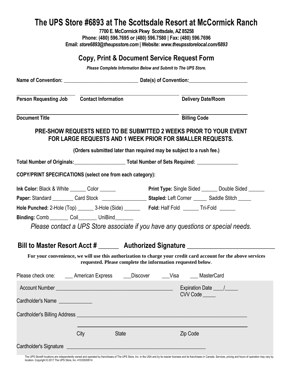#### **The UPS Store #6893 at The Scottsdale Resort at McCormick Ranch**

**7700 E. McCormick Pkwy Scottsdale, AZ 85258 Phone: (480) 596.7695 or (480) 596.7580 | Fax: (480) 596.7696 Email:** *store6893@theupsstore.com* **| Website:** *www.theupsstorelocal.com/6893*

| Copy, Print & Document Service Request Form                                                                                                                                                                                    |                                                                                                              |              |  |                                                                                                                                 |  |  |
|--------------------------------------------------------------------------------------------------------------------------------------------------------------------------------------------------------------------------------|--------------------------------------------------------------------------------------------------------------|--------------|--|---------------------------------------------------------------------------------------------------------------------------------|--|--|
| Please Complete Information Below and Submit to The UPS Store.                                                                                                                                                                 |                                                                                                              |              |  |                                                                                                                                 |  |  |
|                                                                                                                                                                                                                                |                                                                                                              |              |  |                                                                                                                                 |  |  |
| Person Requesting Job Contact Information                                                                                                                                                                                      |                                                                                                              |              |  | <b>Delivery Date/Room</b>                                                                                                       |  |  |
| <b>Document Title</b>                                                                                                                                                                                                          |                                                                                                              |              |  | <b>Billing Code</b>                                                                                                             |  |  |
|                                                                                                                                                                                                                                |                                                                                                              |              |  | PRE-SHOW REQUESTS NEED TO BE SUBMITTED 2 WEEKS PRIOR TO YOUR EVENT<br>FOR LARGE REQUESTS AND 1 WEEK PRIOR FOR SMALLER REQUESTS. |  |  |
|                                                                                                                                                                                                                                |                                                                                                              |              |  | (Orders submitted later than required may be subject to a rush fee.)                                                            |  |  |
|                                                                                                                                                                                                                                | Total Number of Originals: Cambridge Total Number of Sets Required: Cambridge Total Number of Sets Required: |              |  |                                                                                                                                 |  |  |
| COPY/PRINT SPECIFICATIONS (select one from each category):                                                                                                                                                                     |                                                                                                              |              |  |                                                                                                                                 |  |  |
| Ink Color: Black & White ______ Color ______                                                                                                                                                                                   |                                                                                                              |              |  | <b>Print Type:</b> Single Sided _______ Double Sided ______                                                                     |  |  |
|                                                                                                                                                                                                                                |                                                                                                              |              |  | Paper: Standard _________ Card Stock ______________________ Stapled: Left Corner ______ Saddle Stitch _____                     |  |  |
| Hole Punched: 2-Hole (Top) ________ 3-Hole (Side) __________ Fold: Half Fold _______ Tri-Fold ______                                                                                                                           |                                                                                                              |              |  |                                                                                                                                 |  |  |
| Binding: Comb _________ Coil_________ UniBind_______                                                                                                                                                                           |                                                                                                              |              |  |                                                                                                                                 |  |  |
|                                                                                                                                                                                                                                |                                                                                                              |              |  | Please contact a UPS Store associate if you have any questions or special needs.                                                |  |  |
|                                                                                                                                                                                                                                |                                                                                                              |              |  | Bill to Master Resort Acct # _______ Authorized Signature ______________________                                                |  |  |
|                                                                                                                                                                                                                                | requested. Please complete the information requested below.                                                  |              |  | For your convenience, we will use this authorization to charge your credit card account for the above services                  |  |  |
| Please check one: ______ American Express                                                                                                                                                                                      |                                                                                                              | Discover     |  | Visa MasterCard                                                                                                                 |  |  |
| Account Number New York Countries and Countries and Countries and Countries and Countries and Countries and Countries and Countries and Countries and Countries and Countries and Countries and Countries and Countries and Co |                                                                                                              |              |  |                                                                                                                                 |  |  |
| Cardholder's Name                                                                                                                                                                                                              |                                                                                                              |              |  | CVV Code                                                                                                                        |  |  |
|                                                                                                                                                                                                                                |                                                                                                              |              |  |                                                                                                                                 |  |  |
|                                                                                                                                                                                                                                | City                                                                                                         | <b>State</b> |  | Zip Code                                                                                                                        |  |  |

The UPS Store® locations are independently owned and operated by franchisees of The UPS Store, Inc. in the USA and by its master licensee and its franchisees in Canada. Services, pricing and hours of operation may vary by

Cardholder's Signature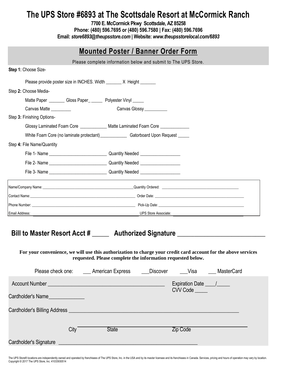#### **The UPS Store #6893 at The Scottsdale Resort at McCormick Ranch**

**7700 E. McCormick Pkwy Scottsdale, AZ 85258 Phone: (480) 596.7695 or (480) 596.7580 | Fax: (480) 596.7696 Email:** *store6893@theupsstore.com* **| Website:** *www.theupsstorelocal.com/6893*

| <b>Mounted Poster / Banner Order Form</b>                                                                                                                                                                                                                                                    |                                                                |          |  |  |  |
|----------------------------------------------------------------------------------------------------------------------------------------------------------------------------------------------------------------------------------------------------------------------------------------------|----------------------------------------------------------------|----------|--|--|--|
|                                                                                                                                                                                                                                                                                              | Please complete information below and submit to The UPS Store. |          |  |  |  |
| Step 1: Choose Size-                                                                                                                                                                                                                                                                         |                                                                |          |  |  |  |
| Please provide poster size in INCHES. Width ________ X Height _______                                                                                                                                                                                                                        |                                                                |          |  |  |  |
| Step 2: Choose Media-                                                                                                                                                                                                                                                                        |                                                                |          |  |  |  |
| Matte Paper __________ Gloss Paper_ _______ Polyester Vinyl ______                                                                                                                                                                                                                           |                                                                |          |  |  |  |
| Canvas Matte _________                                                                                                                                                                                                                                                                       | Canvas Glossy___________                                       |          |  |  |  |
| Step 3: Finishing Options-                                                                                                                                                                                                                                                                   |                                                                |          |  |  |  |
| Glossy Laminated Foam Core _____________ Matte Laminated Foam Core _____________                                                                                                                                                                                                             |                                                                |          |  |  |  |
|                                                                                                                                                                                                                                                                                              |                                                                |          |  |  |  |
| Step 4: File Name/Quantity                                                                                                                                                                                                                                                                   |                                                                |          |  |  |  |
|                                                                                                                                                                                                                                                                                              |                                                                |          |  |  |  |
|                                                                                                                                                                                                                                                                                              |                                                                |          |  |  |  |
|                                                                                                                                                                                                                                                                                              |                                                                |          |  |  |  |
| Name/Company Name: 1980 Mame 2008 Manual Company Name 2008 Manual Company Name 2008 Manual Company Name:                                                                                                                                                                                     |                                                                |          |  |  |  |
|                                                                                                                                                                                                                                                                                              |                                                                |          |  |  |  |
|                                                                                                                                                                                                                                                                                              |                                                                |          |  |  |  |
| <b>Example 2018 Store Associate:</b> All the Store Associate:<br>Email Address:                                                                                                                                                                                                              |                                                                |          |  |  |  |
| Bill to Master Resort Acct # ______ Authorized Signature _______________________<br>For your convenience, we will use this authorization to charge your credit card account for the above services<br>Please check one: ______ American Express ______ Discover ______Visa ______ MasterCard | requested. Please complete the information requested below.    |          |  |  |  |
|                                                                                                                                                                                                                                                                                              |                                                                |          |  |  |  |
| Cardholder's Name                                                                                                                                                                                                                                                                            |                                                                | CVV Code |  |  |  |
|                                                                                                                                                                                                                                                                                              |                                                                |          |  |  |  |
| City <sup>-</sup>                                                                                                                                                                                                                                                                            | <b>State</b>                                                   | Zip Code |  |  |  |
|                                                                                                                                                                                                                                                                                              |                                                                |          |  |  |  |

The UPS Store® locations are independently owned and operated by franchisees of The UPS Store, Inc. in the USA and by its master licensee and its franchisees in Canada. Services, pricing and hours of operation may vary by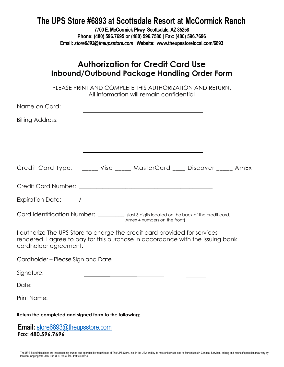#### **The UPS Store #6893 at Scottsdale Resort at McCormick Ranch**

**7700 E. McCormick Pkwy Scottsdale, AZ 85258 Phone: (480) 596.7695 or (480) 596.7580 | Fax: (480) 596.7696 Email:** *store6893@theupsstore.com* **| Website: www.theupsstorelocal.com/6893**

|                                                        | <b>Authorization for Credit Card Use</b><br>Inbound/Outbound Package Handling Order Form                                                                    |
|--------------------------------------------------------|-------------------------------------------------------------------------------------------------------------------------------------------------------------|
|                                                        | PLEASE PRINT AND COMPLETE THIS AUTHORIZATION AND RETURN.<br>All information will remain confidential                                                        |
| Name on Card:                                          |                                                                                                                                                             |
| Billing Address:                                       |                                                                                                                                                             |
|                                                        |                                                                                                                                                             |
|                                                        | Credit Card Type: _____ Visa _____ MasterCard ____ Discover _____ AmEx                                                                                      |
|                                                        |                                                                                                                                                             |
| Expiration Date: _____/_____                           |                                                                                                                                                             |
|                                                        | Card Identification Number: _________ (last 3 digits located on the back of the credit card.<br>Amex 4 numbers on the front)                                |
| cardholder agreement.                                  | I authorize The UPS Store to charge the credit card provided for services<br>rendered. I agree to pay for this purchase in accordance with the issuing bank |
| Cardholder – Please Sign and Date                      |                                                                                                                                                             |
| Signature:                                             |                                                                                                                                                             |
| Date:                                                  |                                                                                                                                                             |
| <b>Print Name:</b>                                     |                                                                                                                                                             |
| Return the completed and signed form to the following: |                                                                                                                                                             |
|                                                        |                                                                                                                                                             |

**Email:** [store6893@theupsstore.com](mailto:store6893@theupsstore.com) **Fax: 480.596.7696**